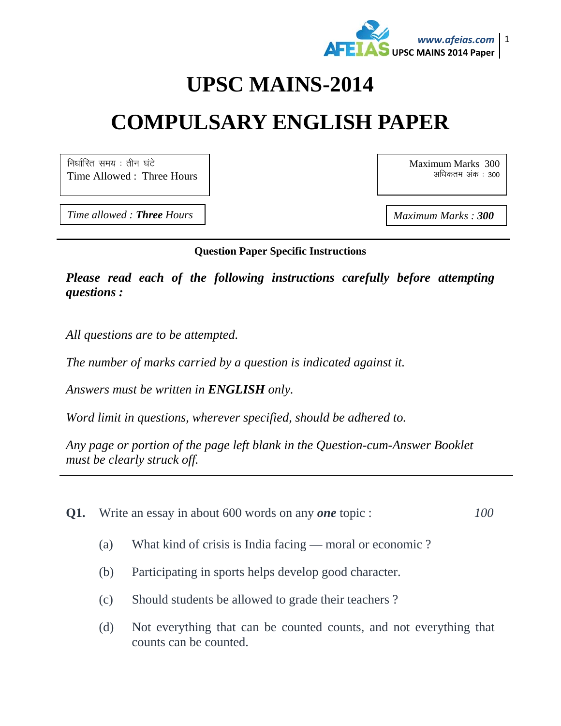

## **UPSC MAINS-2014**

# **COMPULSARY ENGLISH PAPER**

निर्धारित समय $:$  तीन घंटे Time Allowed : Three Hours Maximum Marks 300 अधिकतम अंक : 300

*Time allowed : Three Hours* And *Maximum Marks : 300* 

#### **Question Paper Specific Instructions**

*Please read each of the following instructions carefully before attempting questions :* 

*All questions are to be attempted.* 

*The number of marks carried by a question is indicated against it.* 

*Answers must be written in ENGLISH only.* 

*Word limit in questions, wherever specified, should be adhered to.* 

*Any page or portion of the page left blank in the Question-cum-Answer Booklet must be clearly struck off.* 

- **Q1.** Write an essay in about 600 words on any *one* topic : *100*
	- (a) What kind of crisis is India facing moral or economic ?
	- (b) Participating in sports helps develop good character.
	- (c) Should students be allowed to grade their teachers ?
	- (d) Not everything that can be counted counts, and not everything that counts can be counted.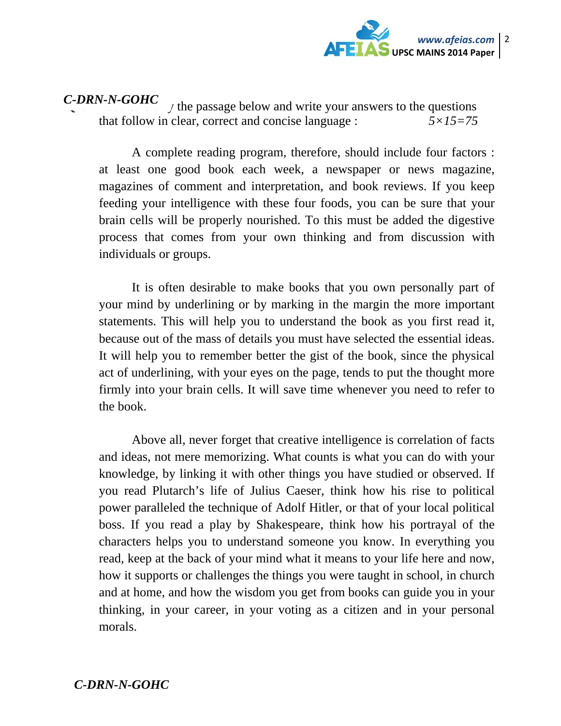

 $\gamma$  the passage below and write your answers to the questions that follow in clear, correct and concise language : *5×15=75 C-DRN-N-GOHC* 

A complete reading program, therefore, should include four factors : at least one good book each week, a newspaper or news magazine, magazines of comment and interpretation, and book reviews. If you keep feeding your intelligence with these four foods, you can be sure that your brain cells will be properly nourished. To this must be added the digestive process that comes from your own thinking and from discussion with individuals or groups.

It is often desirable to make books that you own personally part of your mind by underlining or by marking in the margin the more important statements. This will help you to understand the book as you first read it, because out of the mass of details you must have selected the essential ideas. It will help you to remember better the gist of the book, since the physical act of underlining, with your eyes on the page, tends to put the thought more firmly into your brain cells. It will save time whenever you need to refer to the book.

Above all, never forget that creative intelligence is correlation of facts and ideas, not mere memorizing. What counts is what you can do with your knowledge, by linking it with other things you have studied or observed. If you read Plutarch's life of Julius Caeser, think how his rise to political power paralleled the technique of Adolf Hitler, or that of your local political boss. If you read a play by Shakespeare, think how his portrayal of the characters helps you to understand someone you know. In everything you read, keep at the back of your mind what it means to your life here and now, how it supports or challenges the things you were taught in school, in church and at home, and how the wisdom you get from books can guide you in your thinking, in your career, in your voting as a citizen and in your personal morals.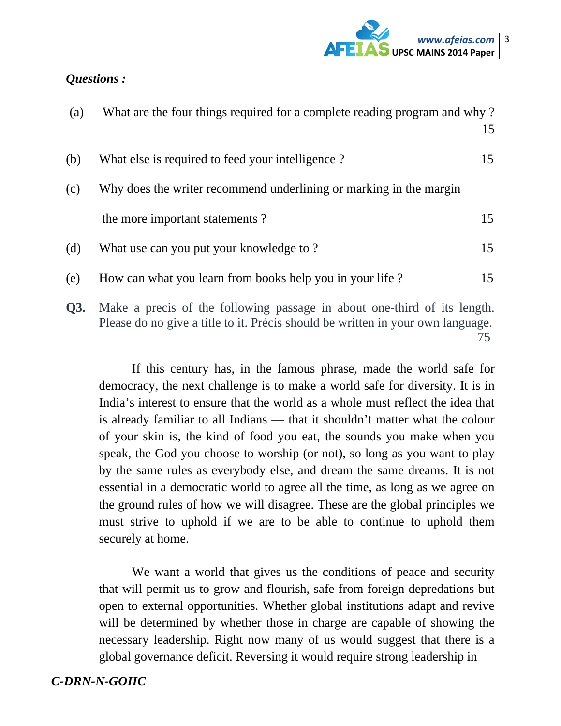

#### *Questions :*

| (a) | What are the four things required for a complete reading program and why?                                                                                   | 15 |
|-----|-------------------------------------------------------------------------------------------------------------------------------------------------------------|----|
| (b) | What else is required to feed your intelligence?                                                                                                            | 15 |
| (c) | Why does the writer recommend underlining or marking in the margin                                                                                          |    |
|     | the more important statements?                                                                                                                              | 15 |
| (d) | What use can you put your knowledge to?                                                                                                                     | 15 |
| (e) | How can what you learn from books help you in your life?                                                                                                    | 15 |
| Q3. | Make a precis of the following passage in about one-third of its length.<br>Please do no give a title to it. Précis should be written in your own language. | 75 |

If this century has, in the famous phrase, made the world safe for democracy, the next challenge is to make a world safe for diversity. It is in India's interest to ensure that the world as a whole must reflect the idea that is already familiar to all Indians — that it shouldn't matter what the colour of your skin is, the kind of food you eat, the sounds you make when you speak, the God you choose to worship (or not), so long as you want to play by the same rules as everybody else, and dream the same dreams. It is not essential in a democratic world to agree all the time, as long as we agree on the ground rules of how we will disagree. These are the global principles we must strive to uphold if we are to be able to continue to uphold them securely at home.

We want a world that gives us the conditions of peace and security that will permit us to grow and flourish, safe from foreign depredations but open to external opportunities. Whether global institutions adapt and revive will be determined by whether those in charge are capable of showing the necessary leadership. Right now many of us would suggest that there is a global governance deficit. Reversing it would require strong leadership in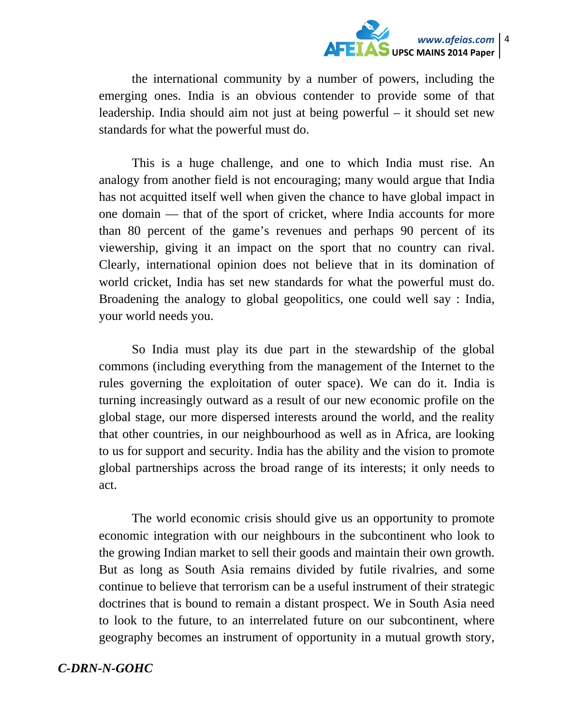

the international community by a number of powers, including the emerging ones. India is an obvious contender to provide some of that leadership. India should aim not just at being powerful – it should set new standards for what the powerful must do.

This is a huge challenge, and one to which India must rise. An analogy from another field is not encouraging; many would argue that India has not acquitted itself well when given the chance to have global impact in one domain — that of the sport of cricket, where India accounts for more than 80 percent of the game's revenues and perhaps 90 percent of its viewership, giving it an impact on the sport that no country can rival. Clearly, international opinion does not believe that in its domination of world cricket, India has set new standards for what the powerful must do. Broadening the analogy to global geopolitics, one could well say : India, your world needs you.

So India must play its due part in the stewardship of the global commons (including everything from the management of the Internet to the rules governing the exploitation of outer space). We can do it. India is turning increasingly outward as a result of our new economic profile on the global stage, our more dispersed interests around the world, and the reality that other countries, in our neighbourhood as well as in Africa, are looking to us for support and security. India has the ability and the vision to promote global partnerships across the broad range of its interests; it only needs to act.

The world economic crisis should give us an opportunity to promote economic integration with our neighbours in the subcontinent who look to the growing Indian market to sell their goods and maintain their own growth. But as long as South Asia remains divided by futile rivalries, and some continue to believe that terrorism can be a useful instrument of their strategic doctrines that is bound to remain a distant prospect. We in South Asia need to look to the future, to an interrelated future on our subcontinent, where geography becomes an instrument of opportunity in a mutual growth story,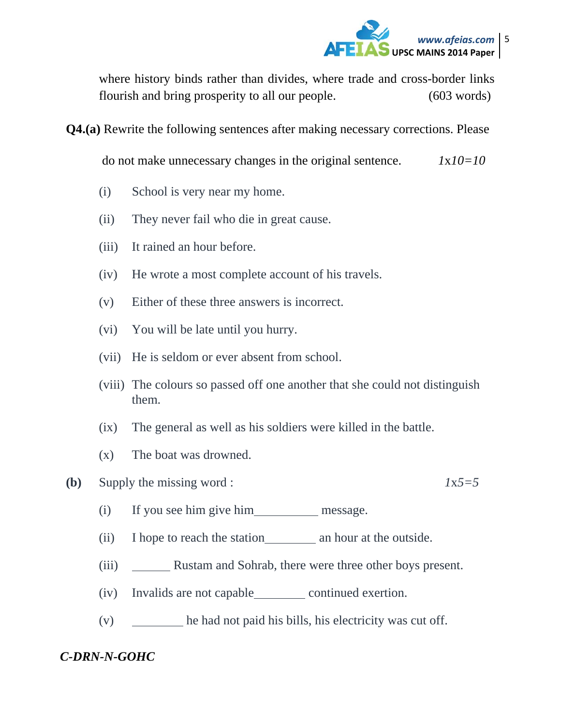

where history binds rather than divides, where trade and cross-border links flourish and bring prosperity to all our people. (603 words)

**Q4.(a)** Rewrite the following sentences after making necessary corrections. Please

do not make unnecessary changes in the original sentence. *1*x*10=10*

- (i) School is very near my home.
- (ii) They never fail who die in great cause.
- (iii) It rained an hour before.
- (iv) He wrote a most complete account of his travels.
- (v) Either of these three answers is incorrect.
- (vi) You will be late until you hurry.
- (vii) He is seldom or ever absent from school.
- (viii) The colours so passed off one another that she could not distinguish them.
- (ix) The general as well as his soldiers were killed in the battle.
- (x) The boat was drowned.

**(b)** Supply the missing word : *1*x*5=5* 

- (i) If you see him give him message.
- (ii) I hope to reach the station an hour at the outside.
- (iii) Rustam and Sohrab, there were three other boys present.
- (iv) Invalids are not capable continued exertion.
- (v) he had not paid his bills, his electricity was cut off.

### *C-DRN-N-GOHC*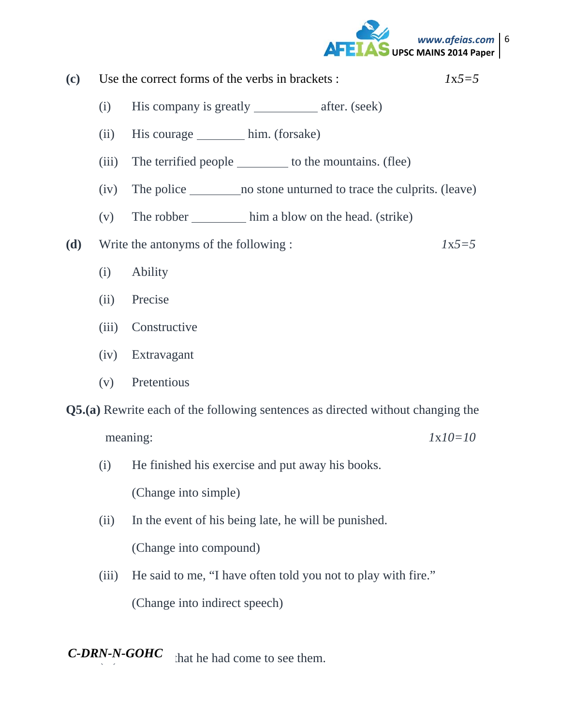

**(c)** Use the correct forms of the verbs in brackets : *1*x*5=5* 

- (i) His company is greatly  $\_\_\_\_\_\$ after. (seek)
- (ii) His courage him. (forsake)
- (iii) The terrified people to the mountains. (flee)
- (iv) The police no stone unturned to trace the culprits. (leave)
- (v) The robber him a blow on the head. (strike)
- **(d)** Write the antonyms of the following : *1*x*5=5*
	- (i) Ability
	- (ii) Precise
	- (iii) Constructive
	- (iv) Extravagant
	- (v) Pretentious

**Q5.(a)** Rewrite each of the following sentences as directed without changing the

meaning: *1*x*10=10* 

- (i) He finished his exercise and put away his books. (Change into simple)
	-
- (ii) In the event of his being late, he will be punished.

(Change into compound)

(iii) He said to me, "I have often told you not to play with fire." (Change into indirect speech)

**C-DRN-N-GOHC** that he had come to see them.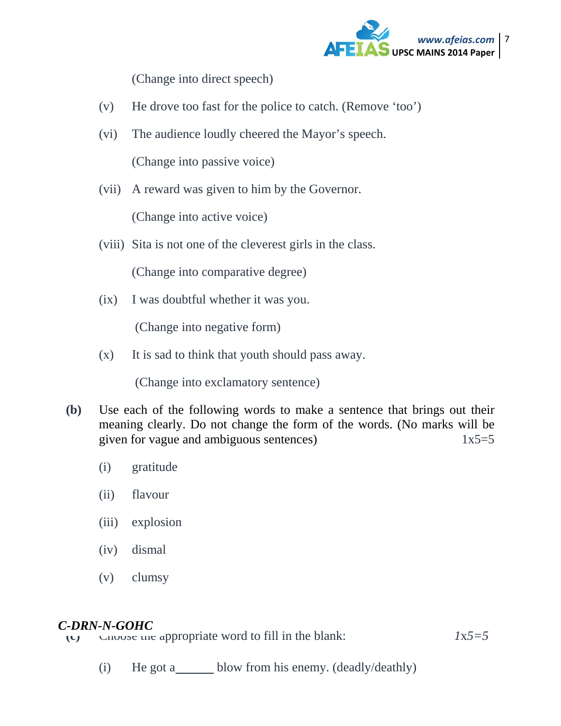

(Change into direct speech)

- (v) He drove too fast for the police to catch. (Remove 'too')
- (vi) The audience loudly cheered the Mayor's speech. (Change into passive voice)
- (vii) A reward was given to him by the Governor.

(Change into active voice)

(viii) Sita is not one of the cleverest girls in the class.

(Change into comparative degree)

(ix) I was doubtful whether it was you.

(Change into negative form)

(x) It is sad to think that youth should pass away.

(Change into exclamatory sentence)

- **(b)** Use each of the following words to make a sentence that brings out their meaning clearly. Do not change the form of the words. (No marks will be given for vague and ambiguous sentences)1x5=5
	- (i) gratitude
	- (ii) flavour
	- (iii) explosion
	- (iv) dismal
	- (v) clumsy

#### *C-DRN-N-GOHC*

(c) Choose the appropriate word to fill in the blank:  $1x5=5$ 

(i) He got a\_\_\_\_\_\_ blow from his enemy. (deadly/deathly)